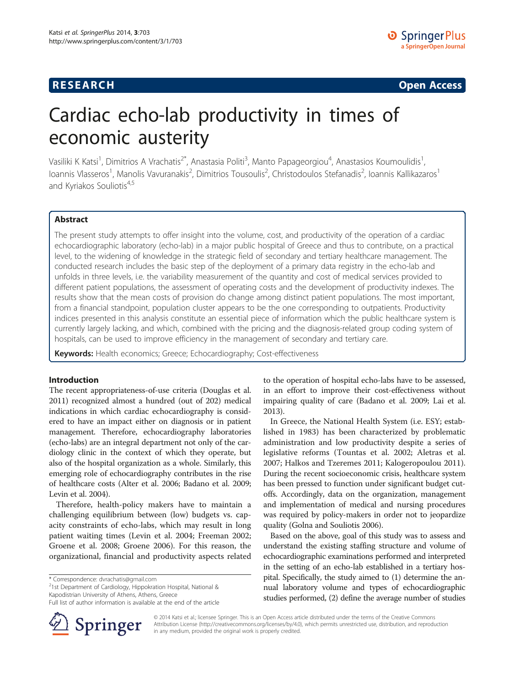## **RESEARCH RESEARCH CONSUMING ACCESS**

# Cardiac echo-lab productivity in times of economic austerity

Vasiliki K Katsi<sup>1</sup>, Dimitrios A Vrachatis<sup>2\*</sup>, Anastasia Politi<sup>3</sup>, Manto Papageorgiou<sup>4</sup>, Anastasios Koumoulidis<sup>1</sup> , Ioannis Vlasseros<sup>1</sup>, Manolis Vavuranakis<sup>2</sup>, Dimitrios Tousoulis<sup>2</sup>, Christodoulos Stefanadis<sup>2</sup>, Ioannis Kallikazaros<sup>1</sup> and Kyriakos Souliotis<sup>4,5</sup>

### Abstract

The present study attempts to offer insight into the volume, cost, and productivity of the operation of a cardiac echocardiographic laboratory (echo-lab) in a major public hospital of Greece and thus to contribute, on a practical level, to the widening of knowledge in the strategic field of secondary and tertiary healthcare management. The conducted research includes the basic step of the deployment of a primary data registry in the echo-lab and unfolds in three levels, i.e. the variability measurement of the quantity and cost of medical services provided to different patient populations, the assessment of operating costs and the development of productivity indexes. The results show that the mean costs of provision do change among distinct patient populations. The most important, from a financial standpoint, population cluster appears to be the one corresponding to outpatients. Productivity indices presented in this analysis constitute an essential piece of information which the public healthcare system is currently largely lacking, and which, combined with the pricing and the diagnosis-related group coding system of hospitals, can be used to improve efficiency in the management of secondary and tertiary care.

Keywords: Health economics; Greece; Echocardiography; Cost-effectiveness

#### Introduction

The recent appropriateness-of-use criteria (Douglas et al. [2011\)](#page-4-0) recognized almost a hundred (out of 202) medical indications in which cardiac echocardiography is considered to have an impact either on diagnosis or in patient management. Therefore, echocardiography laboratories (echo-labs) are an integral department not only of the cardiology clinic in the context of which they operate, but also of the hospital organization as a whole. Similarly, this emerging role of echocardiography contributes in the rise of healthcare costs (Alter et al. [2006](#page-4-0); Badano et al. [2009](#page-4-0); Levin et al. [2004](#page-4-0)).

Therefore, health-policy makers have to maintain a challenging equilibrium between (low) budgets vs. capacity constraints of echo-labs, which may result in long patient waiting times (Levin et al. [2004;](#page-4-0) Freeman [2002](#page-4-0); Groene et al. [2008](#page-4-0); Groene [2006](#page-4-0)). For this reason, the organizational, financial and productivity aspects related

 $2$ 1st Department of Cardiology, Hippokration Hospital, National & Kapodistrian University of Athens, Athens, Greece

Full list of author information is available at the end of the article



to the operation of hospital echo-labs have to be assessed, in an effort to improve their cost-effectiveness without impairing quality of care (Badano et al. [2009](#page-4-0); Lai et al. [2013\)](#page-4-0).

In Greece, the National Health System (i.e. ESY; established in 1983) has been characterized by problematic administration and low productivity despite a series of legislative reforms (Tountas et al. [2002](#page-4-0); Aletras et al. [2007](#page-4-0); Halkos and Tzeremes [2011](#page-4-0); Kalogeropoulou [2011](#page-4-0)). During the recent socioeconomic crisis, healthcare system has been pressed to function under significant budget cutoffs. Accordingly, data on the organization, management and implementation of medical and nursing procedures was required by policy-makers in order not to jeopardize quality (Golna and Souliotis [2006](#page-4-0)).

Based on the above, goal of this study was to assess and understand the existing staffing structure and volume of echocardiographic examinations performed and interpreted in the setting of an echo-lab established in a tertiary hospital. Specifically, the study aimed to (1) determine the annual laboratory volume and types of echocardiographic studies performed, (2) define the average number of studies

© 2014 Katsi et al.; licensee Springer. This is an Open Access article distributed under the terms of the Creative Commons Attribution License [\(http://creativecommons.org/licenses/by/4.0\)](http://creativecommons.org/licenses/by/4.0), which permits unrestricted use, distribution, and reproduction in any medium, provided the original work is properly credited.

<sup>\*</sup> Correspondence: [dvrachatis@gmail.com](mailto:dvrachatis@gmail.com) <sup>2</sup>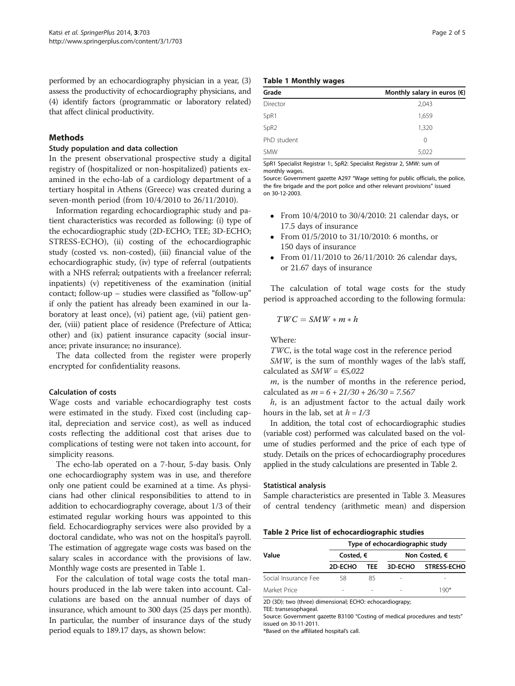performed by an echocardiography physician in a year, (3) assess the productivity of echocardiography physicians, and (4) identify factors (programmatic or laboratory related) that affect clinical productivity.

#### Methods

#### Study population and data collection

In the present observational prospective study a digital registry of (hospitalized or non-hospitalized) patients examined in the echo-lab of a cardiology department of a tertiary hospital in Athens (Greece) was created during a seven-month period (from 10/4/2010 to 26/11/2010).

Information regarding echocardiographic study and patient characteristics was recorded as following: (i) type of the echocardiographic study (2D-ECHO; TEE; 3D-ECHO; STRESS-ECHO), (ii) costing of the echocardiographic study (costed vs. non-costed), (iii) financial value of the echocardiographic study, (iv) type of referral (outpatients with a NHS referral; outpatients with a freelancer referral; inpatients) (v) repetitiveness of the examination (initial contact; follow-up – studies were classified as "follow-up" if only the patient has already been examined in our laboratory at least once), (vi) patient age, (vii) patient gender, (viii) patient place of residence (Prefecture of Attica; other) and (ix) patient insurance capacity (social insurance; private insurance; no insurance).

The data collected from the register were properly encrypted for confidentiality reasons.

#### Calculation of costs

Wage costs and variable echocardiography test costs were estimated in the study. Fixed cost (including capital, depreciation and service cost), as well as induced costs reflecting the additional cost that arises due to complications of testing were not taken into account, for simplicity reasons.

The echo-lab operated on a 7-hour, 5-day basis. Only one echocardiography system was in use, and therefore only one patient could be examined at a time. As physicians had other clinical responsibilities to attend to in addition to echocardiography coverage, about 1/3 of their estimated regular working hours was appointed to this field. Echocardiography services were also provided by a doctoral candidate, who was not on the hospital's payroll. The estimation of aggregate wage costs was based on the salary scales in accordance with the provisions of law. Monthly wage costs are presented in Table 1.

For the calculation of total wage costs the total manhours produced in the lab were taken into account. Calculations are based on the annual number of days of insurance, which amount to 300 days (25 days per month). In particular, the number of insurance days of the study period equals to 189.17 days, as shown below:

| <b>Table 1 Monthly wages</b> |  |  |  |  |
|------------------------------|--|--|--|--|
|------------------------------|--|--|--|--|

| Grade            | Monthly salary in euros $(\epsilon)$ |  |  |  |  |
|------------------|--------------------------------------|--|--|--|--|
| Director         | 2,043                                |  |  |  |  |
| SpR1             | 1,659                                |  |  |  |  |
| SpR <sub>2</sub> | 1,320                                |  |  |  |  |
| PhD student      | 0                                    |  |  |  |  |
| <b>SMW</b>       | 5,022                                |  |  |  |  |

SpR1 Specialist Registrar 1:, SpR2: Specialist Registrar 2, SMW: sum of monthly wages.

Source: Government gazette A297 "Wage setting for public officials, the police, the fire brigade and the port police and other relevant provisions" issued on 30-12-2003.

- From 10/4/2010 to 30/4/2010: 21 calendar days, or 17.5 days of insurance
- From 01/5/2010 to 31/10/2010: 6 months, or 150 days of insurance
- From 01/11/2010 to 26/11/2010: 26 calendar days, or 21.67 days of insurance

The calculation of total wage costs for the study period is approached according to the following formula:

$$
TWC = SMW * m * h
$$

Where:

TWC, is the total wage cost in the reference period

SMW, is the sum of monthly wages of the lab's staff, calculated as  $SMW = \epsilon 5,022$ 

 $m$ , is the number of months in the reference period, calculated as  $m = 6 + 21/30 + 26/30 = 7.567$ 

 $h$ , is an adjustment factor to the actual daily work hours in the lab, set at  $h = 1/3$ 

In addition, the total cost of echocardiographic studies (variable cost) performed was calculated based on the volume of studies performed and the price of each type of study. Details on the prices of echocardiography procedures applied in the study calculations are presented in Table 2.

#### Statistical analysis

Sample characteristics are presented in Table [3](#page-2-0). Measures of central tendency (arithmetic mean) and dispersion

#### Table 2 Price list of echocardiographic studies

|                      | Type of echocardiographic study |        |                          |                    |  |  |  |  |  |
|----------------------|---------------------------------|--------|--------------------------|--------------------|--|--|--|--|--|
| Value                | Costed, $\epsilon$              |        | Non Costed, €            |                    |  |  |  |  |  |
|                      | 2D-ECHO                         | TFF.   | 3D-ECHO                  | <b>STRESS-ECHO</b> |  |  |  |  |  |
| Social Insurance Fee | 58                              | 85     | $\overline{\phantom{a}}$ |                    |  |  |  |  |  |
| Market Price         | -                               | $\sim$ | $\overline{\phantom{a}}$ | 1 ዓበ*              |  |  |  |  |  |

2D (3D): two (three) dimensional; ECHO: echocardiograpy;

TEE: transesophageal.

Source: Government gazette B3100 "Costing of medical procedures and tests" issued on 30-11-2011.

\*Based on the affiliated hospital's call.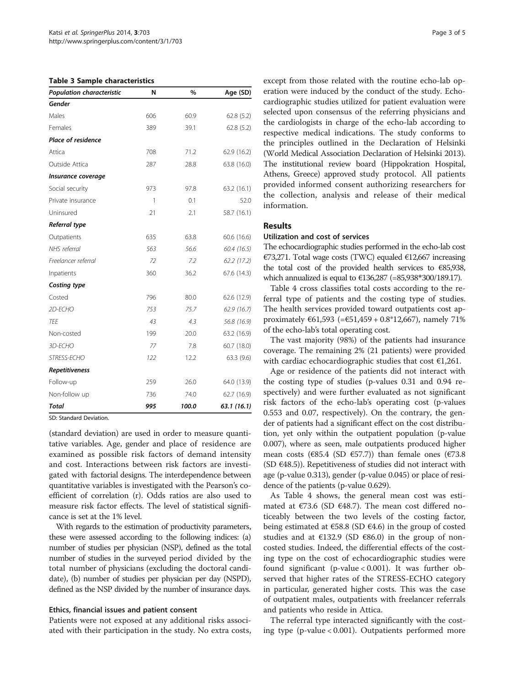<span id="page-2-0"></span>Table 3 Sample characteristics

| Population characteristic | N   | $\%$  | Age (SD)    |  |
|---------------------------|-----|-------|-------------|--|
| Gender                    |     |       |             |  |
| Males                     | 606 | 60.9  | 62.8(5.2)   |  |
| Females                   | 389 | 39.1  | 62.8(5.2)   |  |
| <b>Place of residence</b> |     |       |             |  |
| Attica                    | 708 | 71.2  | 62.9 (16.2) |  |
| Outside Attica            | 287 | 28.8  | 63.8 (16.0) |  |
| Insurance coverage        |     |       |             |  |
| Social security           | 973 | 97.8  | 63.2 (16.1) |  |
| Private insurance         | 1   | 0.1   | 52.0        |  |
| Uninsured                 | 21  | 2.1   | 58.7 (16.1) |  |
| Referral type             |     |       |             |  |
| Outpatients               | 635 | 63.8  | 60.6 (16.6) |  |
| NHS referral              | 563 | 56.6  | 60.4 (16.5) |  |
| Freelancer referral       | 72  | 7.2   | 62.2(17.2)  |  |
| Inpatients                | 360 | 36.2  | 67.6 (14.3) |  |
| Costing type              |     |       |             |  |
| Costed                    | 796 | 80.0  | 62.6 (12.9) |  |
| 2D-ECHO                   | 753 | 75.7  | 62.9(16.7)  |  |
| TEE                       | 43  | 4.3   | 56.8 (16.9) |  |
| Non-costed                | 199 | 20.0  | 63.2 (16.9) |  |
| 3D-ECHO                   | 77  | 7.8   | 60.7 (18.0) |  |
| STRESS-ECHO               | 122 | 12.2  | 63.3 (9.6)  |  |
| Repetitiveness            |     |       |             |  |
| Follow-up                 | 259 | 26.0  | 64.0 (13.9) |  |
| Non-follow up             | 736 | 74.0  | 62.7 (16.9) |  |
| Total                     | 995 | 100.0 | 63.1(16.1)  |  |

SD: Standard Deviation.

(standard deviation) are used in order to measure quantitative variables. Age, gender and place of residence are examined as possible risk factors of demand intensity and cost. Interactions between risk factors are investigated with factorial designs. The interdependence between quantitative variables is investigated with the Pearson's coefficient of correlation (r). Odds ratios are also used to measure risk factor effects. The level of statistical significance is set at the 1% level.

With regards to the estimation of productivity parameters, these were assessed according to the following indices: (a) number of studies per physician (NSP), defined as the total number of studies in the surveyed period divided by the total number of physicians (excluding the doctoral candidate), (b) number of studies per physician per day (NSPD), defined as the NSP divided by the number of insurance days.

#### Ethics, financial issues and patient consent

Patients were not exposed at any additional risks associated with their participation in the study. No extra costs,

except from those related with the routine echo-lab operation were induced by the conduct of the study. Echocardiographic studies utilized for patient evaluation were selected upon consensus of the referring physicians and the cardiologists in charge of the echo-lab according to respective medical indications. The study conforms to the principles outlined in the Declaration of Helsinki (World Medical Association Declaration of Helsinki [2013](#page-4-0)). The institutional review board (Hippokration Hospital, Athens, Greece) approved study protocol. All patients provided informed consent authorizing researchers for the collection, analysis and release of their medical information.

#### Results

#### Utilization and cost of services

The echocardiographic studies performed in the echo-lab cost €73,271. Total wage costs (TWC) equaled €12,667 increasing the total cost of the provided health services to €85,938, which annualized is equal to €136,287 (=85,938∗300/189.17).

Table [4](#page-3-0) cross classifies total costs according to the referral type of patients and the costing type of studies. The health services provided toward outpatients cost approximately €61,593 (=€51,459 + 0.8\*12,667), namely 71% of the echo-lab's total operating cost.

The vast majority (98%) of the patients had insurance coverage. The remaining 2% (21 patients) were provided with cardiac echocardiographic studies that cost  $E1,261$ .

Age or residence of the patients did not interact with the costing type of studies (p-values 0.31 and 0.94 respectively) and were further evaluated as not significant risk factors of the echo-lab's operating cost (p-values 0.553 and 0.07, respectively). On the contrary, the gender of patients had a significant effect on the cost distribution, yet only within the outpatient population (p-value 0.007), where as seen, male outpatients produced higher mean costs ( $\epsilon$ 85.4 (SD  $\epsilon$ 57.7)) than female ones ( $\epsilon$ 73.8 (SD  $\in$ 48.5)). Repetitiveness of studies did not interact with age (p-value 0.313), gender (p-value 0.045) or place of residence of the patients (p-value 0.629).

As Table [4](#page-3-0) shows, the general mean cost was estimated at  $\epsilon$ 73.6 (SD  $\epsilon$ 48.7). The mean cost differed noticeably between the two levels of the costing factor, being estimated at  $\epsilon$ 58.8 (SD  $\epsilon$ 4.6) in the group of costed studies and at  $E132.9$  (SD  $E86.0$ ) in the group of noncosted studies. Indeed, the differential effects of the costing type on the cost of echocardiographic studies were found significant (p-value < 0.001). It was further observed that higher rates of the STRESS-ECHO category in particular, generated higher costs. This was the case of outpatient males, outpatients with freelancer referrals and patients who reside in Attica.

The referral type interacted significantly with the costing type (p-value < 0.001). Outpatients performed more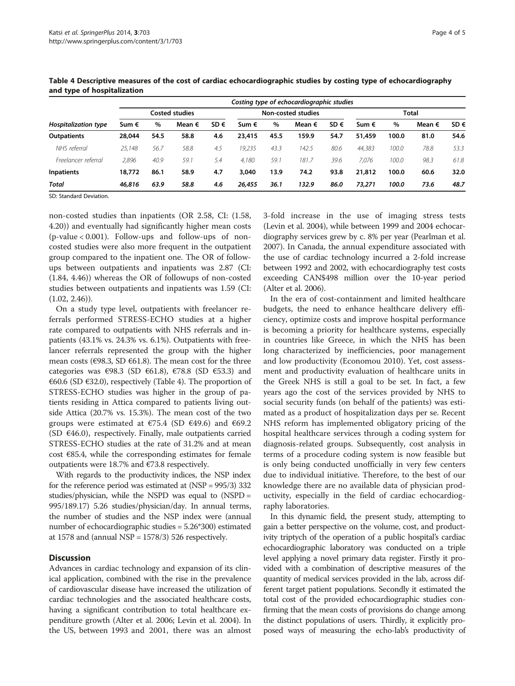| Page 4 of ! |  |  |
|-------------|--|--|
|             |  |  |

|                             |                |      |                 |                           |        |      | Costing type of echocardiographic studies |      |        |       |                 |          |
|-----------------------------|----------------|------|-----------------|---------------------------|--------|------|-------------------------------------------|------|--------|-------|-----------------|----------|
| <b>Hospitalization type</b> | Costed studies |      |                 | <b>Non-costed studies</b> |        |      | Total                                     |      |        |       |                 |          |
|                             | Sum €          | $\%$ | Mean $\epsilon$ | SD $\epsilon$             | Sum €  | $\%$ | Mean $\epsilon$                           | SD € | Sum €  | %     | Mean $\epsilon$ | $SD \in$ |
| <b>Outpatients</b>          | 28,044         | 54.5 | 58.8            | 4.6                       | 23,415 | 45.5 | 159.9                                     | 54.7 | 51,459 | 100.0 | 81.0            | 54.6     |
| NHS referral                | 25.148         | 56.7 | 58.8            | 4.5                       | 19.235 | 43.3 | 142.5                                     | 80.6 | 44.383 | 100.0 | 78.8            | 53.3     |
| Freelancer referral         | 2.896          | 40.9 | 59.1            | 5.4                       | 4.180  | 59.  | 181.7                                     | 39.6 | 7.076  | 100.0 | 98.3            | 61.8     |
| <b>Inpatients</b>           | 18,772         | 86.1 | 58.9            | 4.7                       | 3.040  | 13.9 | 74.2                                      | 93.8 | 21,812 | 100.0 | 60.6            | 32.0     |
| Total                       | 46,816         | 63.9 | 58.8            | 4.6                       | 26,455 | 36.1 | 132.9                                     | 86.0 | 73,271 | 100.0 | 73.6            | 48.7     |

<span id="page-3-0"></span>Table 4 Descriptive measures of the cost of cardiac echocardiographic studies by costing type of echocardiography and type of hospitalization

SD: Standard Deviation.

non-costed studies than inpatients (OR 2.58, CI: (1.58, 4.20)) and eventually had significantly higher mean costs (p-value < 0.001). Follow-ups and follow-ups of noncosted studies were also more frequent in the outpatient group compared to the inpatient one. The OR of followups between outpatients and inpatients was 2.87 (CI: (1.84, 4.46)) whereas the OR of followups of non-costed studies between outpatients and inpatients was 1.59 (CI:  $(1.02, 2.46)$ .

On a study type level, outpatients with freelancer referrals performed STRESS-ECHO studies at a higher rate compared to outpatients with NHS referrals and inpatients (43.1% vs. 24.3% vs. 6.1%). Outpatients with freelancer referrals represented the group with the higher mean costs ( $\epsilon$ 98.3, SD  $\epsilon$ 61.8). The mean cost for the three categories was  $\epsilon$ 98.3 (SD  $\epsilon$ 61.8),  $\epsilon$ 78.8 (SD  $\epsilon$ 53.3) and  $€60.6$  (SD  $€32.0$ ), respectively (Table 4). The proportion of STRESS-ECHO studies was higher in the group of patients residing in Attica compared to patients living outside Attica (20.7% vs. 15.3%). The mean cost of the two groups were estimated at  $\epsilon$ 75.4 (SD  $\epsilon$ 49.6) and  $\epsilon$ 69.2 (SD  $\epsilon$ 46.0), respectively. Finally, male outpatients carried STRESS-ECHO studies at the rate of 31.2% and at mean cost  $\epsilon$ 85.4, while the corresponding estimates for female outpatients were 18.7% and €73.8 respectively.

With regards to the productivity indices, the NSP index for the reference period was estimated at (NSP = 995/3) 332 studies/physician, while the NSPD was equal to (NSPD = 995/189.17) 5.26 studies/physician/day. In annual terms, the number of studies and the NSP index were (annual number of echocardiographic studies = 5.26\*300) estimated at 1578 and (annual NSP =  $1578/3$ ) 526 respectively.

#### **Discussion**

Advances in cardiac technology and expansion of its clinical application, combined with the rise in the prevalence of cardiovascular disease have increased the utilization of cardiac technologies and the associated healthcare costs, having a significant contribution to total healthcare expenditure growth (Alter et al. [2006;](#page-4-0) Levin et al. [2004](#page-4-0)). In the US, between 1993 and 2001, there was an almost 3-fold increase in the use of imaging stress tests (Levin et al. [2004](#page-4-0)), while between 1999 and 2004 echocardiography services grew by c. 8% per year (Pearlman et al. [2007\)](#page-4-0). In Canada, the annual expenditure associated with the use of cardiac technology incurred a 2-fold increase between 1992 and 2002, with echocardiography test costs exceeding CAN\$498 million over the 10-year period (Alter et al. [2006\)](#page-4-0).

In the era of cost-containment and limited healthcare budgets, the need to enhance healthcare delivery efficiency, optimize costs and improve hospital performance is becoming a priority for healthcare systems, especially in countries like Greece, in which the NHS has been long characterized by inefficiencies, poor management and low productivity (Economou [2010](#page-4-0)). Yet, cost assessment and productivity evaluation of healthcare units in the Greek NHS is still a goal to be set. In fact, a few years ago the cost of the services provided by NHS to social security funds (on behalf of the patients) was estimated as a product of hospitalization days per se. Recent NHS reform has implemented obligatory pricing of the hospital healthcare services through a coding system for diagnosis-related groups. Subsequently, cost analysis in terms of a procedure coding system is now feasible but is only being conducted unofficially in very few centers due to individual initiative. Therefore, to the best of our knowledge there are no available data of physician productivity, especially in the field of cardiac echocardiography laboratories.

In this dynamic field, the present study, attempting to gain a better perspective on the volume, cost, and productivity triptych of the operation of a public hospital's cardiac echocardiographic laboratory was conducted on a triple level applying a novel primary data register. Firstly it provided with a combination of descriptive measures of the quantity of medical services provided in the lab, across different target patient populations. Secondly it estimated the total cost of the provided echocardiographic studies confirming that the mean costs of provisions do change among the distinct populations of users. Thirdly, it explicitly proposed ways of measuring the echo-lab's productivity of